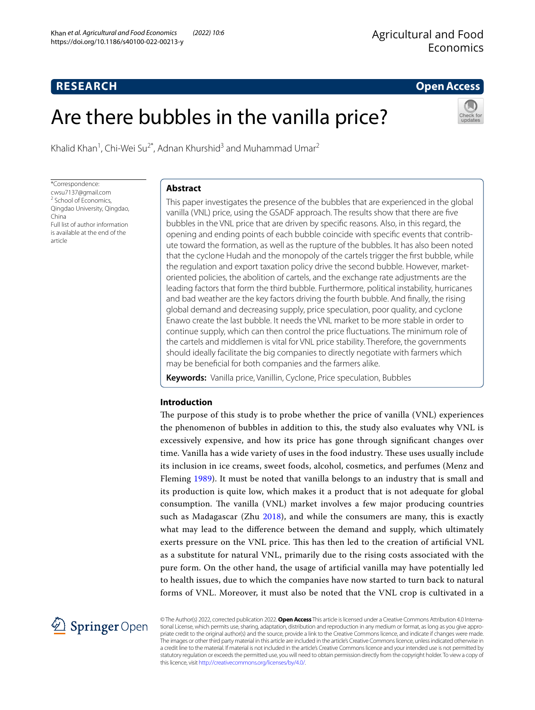# **Open Access**

# Are there bubbles in the vanilla price?



Khalid Khan<sup>1</sup>, Chi-Wei Su<sup>2\*</sup>, Adnan Khurshid<sup>3</sup> and Muhammad Umar<sup>2</sup>

\*Correspondence: cwsu7137@gmail.com <sup>2</sup> School of Economics, Qingdao University, Qingdao, China Full list of author information is available at the end of the article

**RESEARCH**

## **Abstract**

This paper investigates the presence of the bubbles that are experienced in the global vanilla (VNL) price, using the GSADF approach. The results show that there are fve bubbles in the VNL price that are driven by specifc reasons. Also, in this regard, the opening and ending points of each bubble coincide with specific events that contribute toward the formation, as well as the rupture of the bubbles. It has also been noted that the cyclone Hudah and the monopoly of the cartels trigger the frst bubble, while the regulation and export taxation policy drive the second bubble. However, marketoriented policies, the abolition of cartels, and the exchange rate adjustments are the leading factors that form the third bubble. Furthermore, political instability, hurricanes and bad weather are the key factors driving the fourth bubble. And fnally, the rising global demand and decreasing supply, price speculation, poor quality, and cyclone Enawo create the last bubble. It needs the VNL market to be more stable in order to continue supply, which can then control the price fuctuations. The minimum role of the cartels and middlemen is vital for VNL price stability. Therefore, the governments should ideally facilitate the big companies to directly negotiate with farmers which may be benefcial for both companies and the farmers alike.

**Keywords:** Vanilla price, Vanillin, Cyclone, Price speculation, Bubbles

## **Introduction**

The purpose of this study is to probe whether the price of vanilla (VNL) experiences the phenomenon of bubbles in addition to this, the study also evaluates why VNL is excessively expensive, and how its price has gone through signifcant changes over time. Vanilla has a wide variety of uses in the food industry. These uses usually include its inclusion in ice creams, sweet foods, alcohol, cosmetics, and perfumes (Menz and Fleming [1989](#page-15-0)). It must be noted that vanilla belongs to an industry that is small and its production is quite low, which makes it a product that is not adequate for global consumption. The vanilla (VNL) market involves a few major producing countries such as Madagascar (Zhu [2018](#page-15-1)), and while the consumers are many, this is exactly what may lead to the diference between the demand and supply, which ultimately exerts pressure on the VNL price. This has then led to the creation of artificial VNL as a substitute for natural VNL, primarily due to the rising costs associated with the pure form. On the other hand, the usage of artifcial vanilla may have potentially led to health issues, due to which the companies have now started to turn back to natural forms of VNL. Moreover, it must also be noted that the VNL crop is cultivated in a



© The Author(s) 2022, corrected publication 2022. **Open Access** This article is licensed under a Creative Commons Attribution 4.0 Interna‑ tional License, which permits use, sharing, adaptation, distribution and reproduction in any medium or format, as long as you give appropriate credit to the original author(s) and the source, provide a link to the Creative Commons licence, and indicate if changes were made. The images or other third party material in this article are included in the article's Creative Commons licence, unless indicated otherwise in a credit line to the material. If material is not included in the article's Creative Commons licence and your intended use is not permitted by statutory regulation or exceeds the permitted use, you will need to obtain permission directly from the copyright holder. To view a copy of this licence, visit<http://creativecommons.org/licenses/by/4.0/>.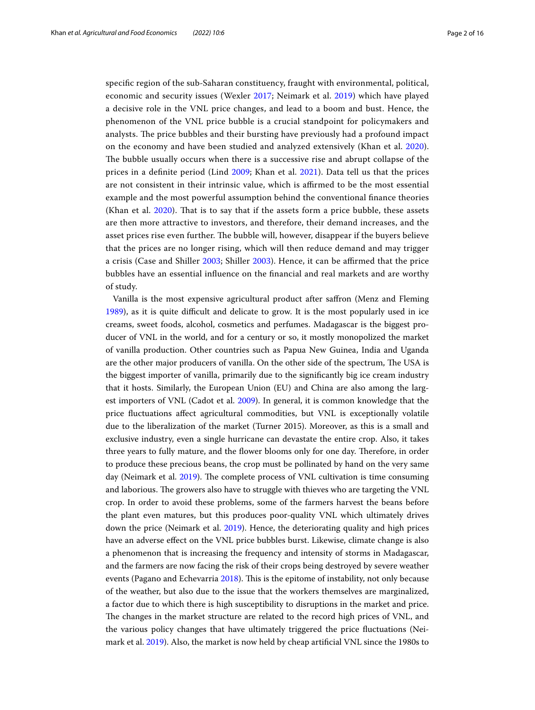specifc region of the sub-Saharan constituency, fraught with environmental, political, economic and security issues (Wexler [2017;](#page-15-2) Neimark et al. [2019\)](#page-15-3) which have played a decisive role in the VNL price changes, and lead to a boom and bust. Hence, the phenomenon of the VNL price bubble is a crucial standpoint for policymakers and analysts. The price bubbles and their bursting have previously had a profound impact on the economy and have been studied and analyzed extensively (Khan et al. [2020](#page-15-4)). The bubble usually occurs when there is a successive rise and abrupt collapse of the prices in a defnite period (Lind [2009](#page-15-5); Khan et al. [2021](#page-15-6)). Data tell us that the prices are not consistent in their intrinsic value, which is affirmed to be the most essential example and the most powerful assumption behind the conventional fnance theories (Khan et al. [2020\)](#page-15-4). That is to say that if the assets form a price bubble, these assets are then more attractive to investors, and therefore, their demand increases, and the asset prices rise even further. The bubble will, however, disappear if the buyers believe that the prices are no longer rising, which will then reduce demand and may trigger a crisis (Case and Shiller [2003;](#page-14-0) Shiller [2003\)](#page-15-7). Hence, it can be afrmed that the price bubbles have an essential infuence on the fnancial and real markets and are worthy of study.

Vanilla is the most expensive agricultural product after safron (Menz and Fleming [1989](#page-15-0)), as it is quite difcult and delicate to grow. It is the most popularly used in ice creams, sweet foods, alcohol, cosmetics and perfumes. Madagascar is the biggest producer of VNL in the world, and for a century or so, it mostly monopolized the market of vanilla production. Other countries such as Papua New Guinea, India and Uganda are the other major producers of vanilla. On the other side of the spectrum, The USA is the biggest importer of vanilla, primarily due to the signifcantly big ice cream industry that it hosts. Similarly, the European Union (EU) and China are also among the largest importers of VNL (Cadot et al. [2009](#page-14-1)). In general, it is common knowledge that the price fuctuations afect agricultural commodities, but VNL is exceptionally volatile due to the liberalization of the market (Turner 2015). Moreover, as this is a small and exclusive industry, even a single hurricane can devastate the entire crop. Also, it takes three years to fully mature, and the flower blooms only for one day. Therefore, in order to produce these precious beans, the crop must be pollinated by hand on the very same day (Neimark et al. [2019\)](#page-15-3). The complete process of VNL cultivation is time consuming and laborious. The growers also have to struggle with thieves who are targeting the VNL crop. In order to avoid these problems, some of the farmers harvest the beans before the plant even matures, but this produces poor-quality VNL which ultimately drives down the price (Neimark et al. [2019](#page-15-3)). Hence, the deteriorating quality and high prices have an adverse efect on the VNL price bubbles burst. Likewise, climate change is also a phenomenon that is increasing the frequency and intensity of storms in Madagascar, and the farmers are now facing the risk of their crops being destroyed by severe weather events (Pagano and Echevarria [2018](#page-15-8)). This is the epitome of instability, not only because of the weather, but also due to the issue that the workers themselves are marginalized, a factor due to which there is high susceptibility to disruptions in the market and price. The changes in the market structure are related to the record high prices of VNL, and the various policy changes that have ultimately triggered the price fuctuations (Neimark et al. [2019\)](#page-15-3). Also, the market is now held by cheap artifcial VNL since the 1980s to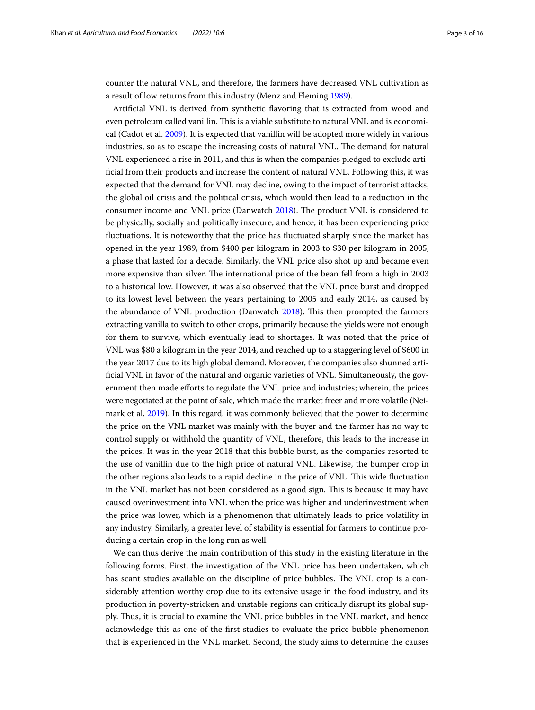counter the natural VNL, and therefore, the farmers have decreased VNL cultivation as a result of low returns from this industry (Menz and Fleming [1989](#page-15-0)).

Artifcial VNL is derived from synthetic favoring that is extracted from wood and even petroleum called vanillin. This is a viable substitute to natural VNL and is economical (Cadot et al. [2009\)](#page-14-1). It is expected that vanillin will be adopted more widely in various industries, so as to escape the increasing costs of natural VNL. The demand for natural VNL experienced a rise in 2011, and this is when the companies pledged to exclude artifcial from their products and increase the content of natural VNL. Following this, it was expected that the demand for VNL may decline, owing to the impact of terrorist attacks, the global oil crisis and the political crisis, which would then lead to a reduction in the consumer income and VNL price (Danwatch [2018\)](#page-14-2). The product VNL is considered to be physically, socially and politically insecure, and hence, it has been experiencing price fuctuations. It is noteworthy that the price has fuctuated sharply since the market has opened in the year 1989, from \$400 per kilogram in 2003 to \$30 per kilogram in 2005, a phase that lasted for a decade. Similarly, the VNL price also shot up and became even more expensive than silver. The international price of the bean fell from a high in 2003 to a historical low. However, it was also observed that the VNL price burst and dropped to its lowest level between the years pertaining to 2005 and early 2014, as caused by the abundance of VNL production (Danwatch [2018\)](#page-14-2). This then prompted the farmers extracting vanilla to switch to other crops, primarily because the yields were not enough for them to survive, which eventually lead to shortages. It was noted that the price of VNL was \$80 a kilogram in the year 2014, and reached up to a staggering level of \$600 in the year 2017 due to its high global demand. Moreover, the companies also shunned artificial VNL in favor of the natural and organic varieties of VNL. Simultaneously, the government then made eforts to regulate the VNL price and industries; wherein, the prices were negotiated at the point of sale, which made the market freer and more volatile (Neimark et al. [2019\)](#page-15-3). In this regard, it was commonly believed that the power to determine the price on the VNL market was mainly with the buyer and the farmer has no way to control supply or withhold the quantity of VNL, therefore, this leads to the increase in the prices. It was in the year 2018 that this bubble burst, as the companies resorted to the use of vanillin due to the high price of natural VNL. Likewise, the bumper crop in the other regions also leads to a rapid decline in the price of VNL. This wide fluctuation in the VNL market has not been considered as a good sign. This is because it may have caused overinvestment into VNL when the price was higher and underinvestment when the price was lower, which is a phenomenon that ultimately leads to price volatility in any industry. Similarly, a greater level of stability is essential for farmers to continue producing a certain crop in the long run as well.

We can thus derive the main contribution of this study in the existing literature in the following forms. First, the investigation of the VNL price has been undertaken, which has scant studies available on the discipline of price bubbles. The VNL crop is a considerably attention worthy crop due to its extensive usage in the food industry, and its production in poverty-stricken and unstable regions can critically disrupt its global supply. Thus, it is crucial to examine the VNL price bubbles in the VNL market, and hence acknowledge this as one of the frst studies to evaluate the price bubble phenomenon that is experienced in the VNL market. Second, the study aims to determine the causes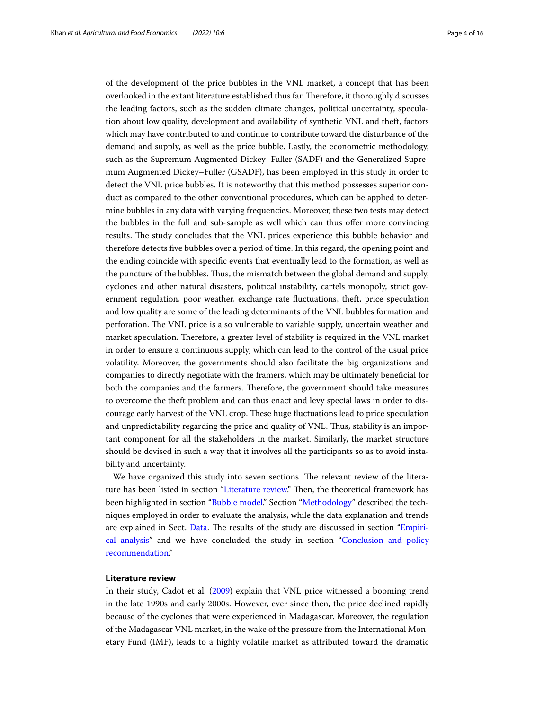of the development of the price bubbles in the VNL market, a concept that has been overlooked in the extant literature established thus far. Therefore, it thoroughly discusses the leading factors, such as the sudden climate changes, political uncertainty, speculation about low quality, development and availability of synthetic VNL and theft, factors which may have contributed to and continue to contribute toward the disturbance of the demand and supply, as well as the price bubble. Lastly, the econometric methodology, such as the Supremum Augmented Dickey–Fuller (SADF) and the Generalized Supremum Augmented Dickey–Fuller (GSADF), has been employed in this study in order to detect the VNL price bubbles. It is noteworthy that this method possesses superior conduct as compared to the other conventional procedures, which can be applied to determine bubbles in any data with varying frequencies. Moreover, these two tests may detect the bubbles in the full and sub-sample as well which can thus ofer more convincing results. The study concludes that the VNL prices experience this bubble behavior and therefore detects fve bubbles over a period of time. In this regard, the opening point and the ending coincide with specifc events that eventually lead to the formation, as well as the puncture of the bubbles. Tus, the mismatch between the global demand and supply, cyclones and other natural disasters, political instability, cartels monopoly, strict government regulation, poor weather, exchange rate fuctuations, theft, price speculation and low quality are some of the leading determinants of the VNL bubbles formation and perforation. The VNL price is also vulnerable to variable supply, uncertain weather and market speculation. Therefore, a greater level of stability is required in the VNL market in order to ensure a continuous supply, which can lead to the control of the usual price volatility. Moreover, the governments should also facilitate the big organizations and companies to directly negotiate with the framers, which may be ultimately benefcial for both the companies and the farmers. Therefore, the government should take measures to overcome the theft problem and can thus enact and levy special laws in order to discourage early harvest of the VNL crop. These huge fluctuations lead to price speculation and unpredictability regarding the price and quality of VNL. Thus, stability is an important component for all the stakeholders in the market. Similarly, the market structure should be devised in such a way that it involves all the participants so as to avoid instability and uncertainty.

We have organized this study into seven sections. The relevant review of the litera-ture has been listed in section ["Literature review.](#page-3-0)" Then, the theoretical framework has been highlighted in section "[Bubble model.](#page-5-0)" Section "[Methodology](#page-6-0)" described the techniques employed in order to evaluate the analysis, while the data explanation and trends are explained in Sect. [Data.](#page-7-0) The results of the study are discussed in section ["Empiri](#page-9-0)[cal analysis](#page-9-0)" and we have concluded the study in section ["Conclusion and policy](#page-13-0)  [recommendation.](#page-13-0)"

# <span id="page-3-0"></span>**Literature review**

In their study, Cadot et al. [\(2009\)](#page-14-1) explain that VNL price witnessed a booming trend in the late 1990s and early 2000s. However, ever since then, the price declined rapidly because of the cyclones that were experienced in Madagascar. Moreover, the regulation of the Madagascar VNL market, in the wake of the pressure from the International Monetary Fund (IMF), leads to a highly volatile market as attributed toward the dramatic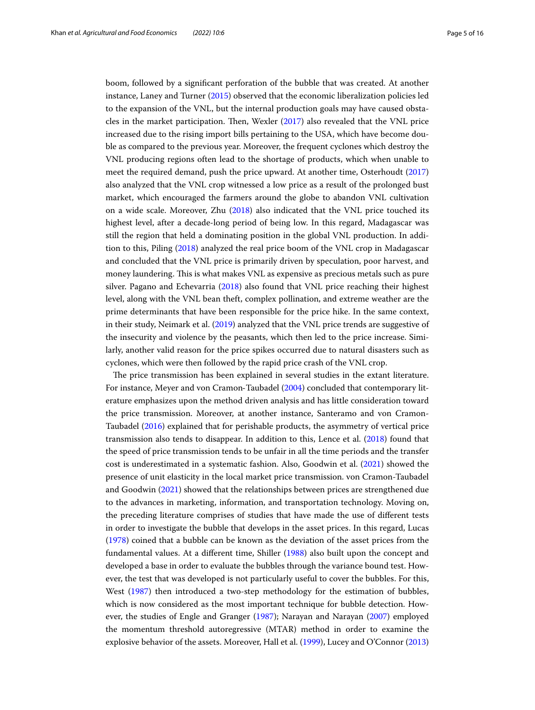boom, followed by a signifcant perforation of the bubble that was created. At another instance, Laney and Turner ([2015](#page-15-9)) observed that the economic liberalization policies led to the expansion of the VNL, but the internal production goals may have caused obstacles in the market participation. Then, Wexler  $(2017)$  $(2017)$  $(2017)$  also revealed that the VNL price increased due to the rising import bills pertaining to the USA, which have become double as compared to the previous year. Moreover, the frequent cyclones which destroy the VNL producing regions often lead to the shortage of products, which when unable to meet the required demand, push the price upward. At another time, Osterhoudt ([2017](#page-15-10)) also analyzed that the VNL crop witnessed a low price as a result of the prolonged bust market, which encouraged the farmers around the globe to abandon VNL cultivation on a wide scale. Moreover, Zhu [\(2018](#page-15-1)) also indicated that the VNL price touched its highest level, after a decade-long period of being low. In this regard, Madagascar was still the region that held a dominating position in the global VNL production. In addition to this, Piling [\(2018\)](#page-15-11) analyzed the real price boom of the VNL crop in Madagascar and concluded that the VNL price is primarily driven by speculation, poor harvest, and money laundering. This is what makes VNL as expensive as precious metals such as pure silver. Pagano and Echevarria [\(2018](#page-15-8)) also found that VNL price reaching their highest level, along with the VNL bean theft, complex pollination, and extreme weather are the prime determinants that have been responsible for the price hike. In the same context, in their study, Neimark et al. [\(2019\)](#page-15-3) analyzed that the VNL price trends are suggestive of the insecurity and violence by the peasants, which then led to the price increase. Similarly, another valid reason for the price spikes occurred due to natural disasters such as cyclones, which were then followed by the rapid price crash of the VNL crop.

The price transmission has been explained in several studies in the extant literature. For instance, Meyer and von Cramon‐Taubadel ([2004](#page-15-12)) concluded that contemporary literature emphasizes upon the method driven analysis and has little consideration toward the price transmission. Moreover, at another instance, Santeramo and von Cramon-Taubadel ([2016\)](#page-15-13) explained that for perishable products, the asymmetry of vertical price transmission also tends to disappear. In addition to this, Lence et al. [\(2018\)](#page-15-14) found that the speed of price transmission tends to be unfair in all the time periods and the transfer cost is underestimated in a systematic fashion. Also, Goodwin et al. ([2021](#page-15-15)) showed the presence of unit elasticity in the local market price transmission. von Cramon-Taubadel and Goodwin [\(2021](#page-15-16)) showed that the relationships between prices are strengthened due to the advances in marketing, information, and transportation technology. Moving on, the preceding literature comprises of studies that have made the use of diferent tests in order to investigate the bubble that develops in the asset prices. In this regard, Lucas ([1978\)](#page-15-17) coined that a bubble can be known as the deviation of the asset prices from the fundamental values. At a diferent time, Shiller [\(1988\)](#page-15-18) also built upon the concept and developed a base in order to evaluate the bubbles through the variance bound test. However, the test that was developed is not particularly useful to cover the bubbles. For this, West ([1987](#page-15-19)) then introduced a two-step methodology for the estimation of bubbles, which is now considered as the most important technique for bubble detection. However, the studies of Engle and Granger [\(1987\)](#page-15-20); Narayan and Narayan [\(2007](#page-15-21)) employed the momentum threshold autoregressive (MTAR) method in order to examine the explosive behavior of the assets. Moreover, Hall et al. [\(1999\)](#page-15-22), Lucey and O'Connor ([2013](#page-15-23))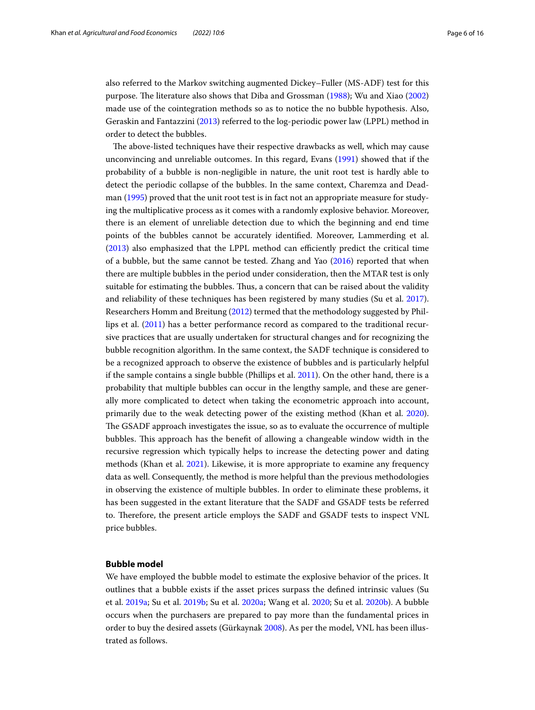also referred to the Markov switching augmented Dickey–Fuller (MS-ADF) test for this purpose. The literature also shows that Diba and Grossman ([1988\)](#page-14-3); Wu and Xiao ([2002](#page-15-24)) made use of the cointegration methods so as to notice the no bubble hypothesis. Also, Geraskin and Fantazzini [\(2013\)](#page-15-25) referred to the log-periodic power law (LPPL) method in order to detect the bubbles.

The above-listed techniques have their respective drawbacks as well, which may cause unconvincing and unreliable outcomes. In this regard, Evans [\(1991\)](#page-15-26) showed that if the probability of a bubble is non-negligible in nature, the unit root test is hardly able to detect the periodic collapse of the bubbles. In the same context, Charemza and Deadman [\(1995\)](#page-14-4) proved that the unit root test is in fact not an appropriate measure for studying the multiplicative process as it comes with a randomly explosive behavior. Moreover, there is an element of unreliable detection due to which the beginning and end time points of the bubbles cannot be accurately identifed. Moreover, Lammerding et al.  $(2013)$  $(2013)$  also emphasized that the LPPL method can efficiently predict the critical time of a bubble, but the same cannot be tested. Zhang and Yao ([2016\)](#page-15-28) reported that when there are multiple bubbles in the period under consideration, then the MTAR test is only suitable for estimating the bubbles. Thus, a concern that can be raised about the validity and reliability of these techniques has been registered by many studies (Su et al. [2017](#page-15-29)). Researchers Homm and Breitung ([2012\)](#page-15-30) termed that the methodology suggested by Phillips et al. [\(2011\)](#page-15-31) has a better performance record as compared to the traditional recursive practices that are usually undertaken for structural changes and for recognizing the bubble recognition algorithm. In the same context, the SADF technique is considered to be a recognized approach to observe the existence of bubbles and is particularly helpful if the sample contains a single bubble (Phillips et al. [2011](#page-15-31)). On the other hand, there is a probability that multiple bubbles can occur in the lengthy sample, and these are generally more complicated to detect when taking the econometric approach into account, primarily due to the weak detecting power of the existing method (Khan et al. [2020](#page-15-4)). The GSADF approach investigates the issue, so as to evaluate the occurrence of multiple bubbles. Tis approach has the beneft of allowing a changeable window width in the recursive regression which typically helps to increase the detecting power and dating methods (Khan et al. [2021](#page-15-6)). Likewise, it is more appropriate to examine any frequency data as well. Consequently, the method is more helpful than the previous methodologies in observing the existence of multiple bubbles. In order to eliminate these problems, it has been suggested in the extant literature that the SADF and GSADF tests be referred to. Therefore, the present article employs the SADF and GSADF tests to inspect VNL price bubbles.

## <span id="page-5-0"></span>**Bubble model**

We have employed the bubble model to estimate the explosive behavior of the prices. It outlines that a bubble exists if the asset prices surpass the defned intrinsic values (Su et al. [2019a](#page-15-32); Su et al. [2019b](#page-15-33); Su et al. [2020a;](#page-15-34) Wang et al. [2020](#page-15-35); Su et al. [2020b](#page-15-36)). A bubble occurs when the purchasers are prepared to pay more than the fundamental prices in order to buy the desired assets (Gürkaynak [2008](#page-15-37)). As per the model, VNL has been illustrated as follows.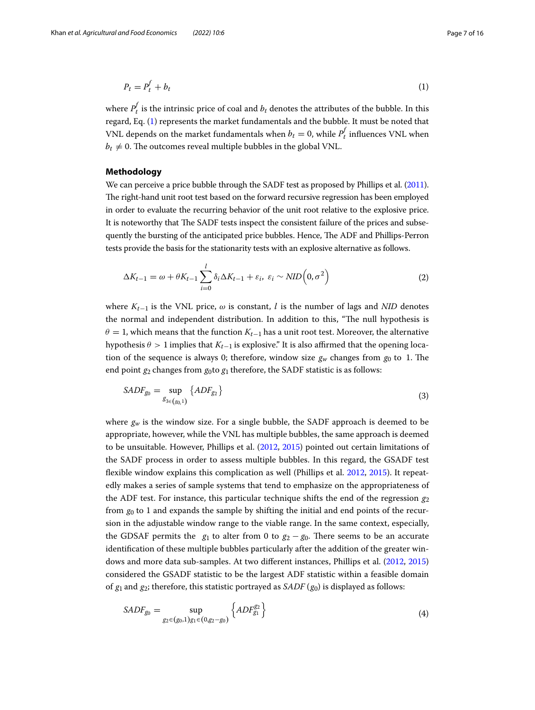<span id="page-6-1"></span>
$$
P_t = P_t^f + b_t \tag{1}
$$

where  $P_t^f$  is the intrinsic price of coal and  $b_t$  denotes the attributes of the bubble. In this regard, Eq. ([1\)](#page-6-1) represents the market fundamentals and the bubble. It must be noted that VNL depends on the market fundamentals when  $b_t = 0$ , while  $P_t^f$  influences VNL when  $b_t \neq 0$ . The outcomes reveal multiple bubbles in the global VNL.

## <span id="page-6-0"></span>**Methodology**

We can perceive a price bubble through the SADF test as proposed by Phillips et al. [\(2011](#page-15-31)). The right-hand unit root test based on the forward recursive regression has been employed in order to evaluate the recurring behavior of the unit root relative to the explosive price. It is noteworthy that The SADF tests inspect the consistent failure of the prices and subsequently the bursting of the anticipated price bubbles. Hence, The ADF and Phillips-Perron tests provide the basis for the stationarity tests with an explosive alternative as follows.

$$
\Delta K_{t-1} = \omega + \theta K_{t-1} \sum_{i=0}^{l} \delta_i \Delta K_{t-1} + \varepsilon_i, \ \varepsilon_i \sim \text{NID}\left(0, \sigma^2\right) \tag{2}
$$

where  $K_{t-1}$  is the VNL price,  $\omega$  is constant, l is the number of lags and *NID* denotes the normal and independent distribution. In addition to this, "The null hypothesis is  $\theta = 1$ , which means that the function  $K_{t-1}$  has a unit root test. Moreover, the alternative hypothesis  $\theta > 1$  implies that  $K_{t-1}$  is explosive." It is also affirmed that the opening location of the sequence is always 0; therefore, window size  $g_w$  changes from  $g_0$  to 1. The end point  $g_2$  changes from  $g_0$  to  $g_1$  therefore, the SADF statistic is as follows:

$$
SADF_{g_0} = \sup_{g_{3\in(g_0,1)}} \{ADF_{g_2}\}\tag{3}
$$

where  $g_w$  is the window size. For a single bubble, the SADF approach is deemed to be appropriate, however, while the VNL has multiple bubbles, the same approach is deemed to be unsuitable. However, Phillips et al. ([2012](#page-15-38), [2015](#page-15-39)) pointed out certain limitations of the SADF process in order to assess multiple bubbles. In this regard, the GSADF test fexible window explains this complication as well (Phillips et al. [2012](#page-15-38), [2015\)](#page-15-39). It repeatedly makes a series of sample systems that tend to emphasize on the appropriateness of the ADF test. For instance, this particular technique shifts the end of the regression  $g_2$ from  $g_0$  to 1 and expands the sample by shifting the initial and end points of the recursion in the adjustable window range to the viable range. In the same context, especially, the GDSAF permits the  $g_1$  to alter from 0 to  $g_2 - g_0$ . There seems to be an accurate identifcation of these multiple bubbles particularly after the addition of the greater windows and more data sub-samples. At two diferent instances, Phillips et al. [\(2012,](#page-15-38) [2015](#page-15-39)) considered the GSADF statistic to be the largest ADF statistic within a feasible domain of  $g_1$  and  $g_2$ ; therefore, this statistic portrayed as  $SADF(g_0)$  is displayed as follows:

$$
SADF_{g_0} = \sup_{g_2 \in (g_0, 1)g_1 \in (0, g_2 - g_0)} \left\{ ADF_{g_1}^{g_2} \right\} \tag{4}
$$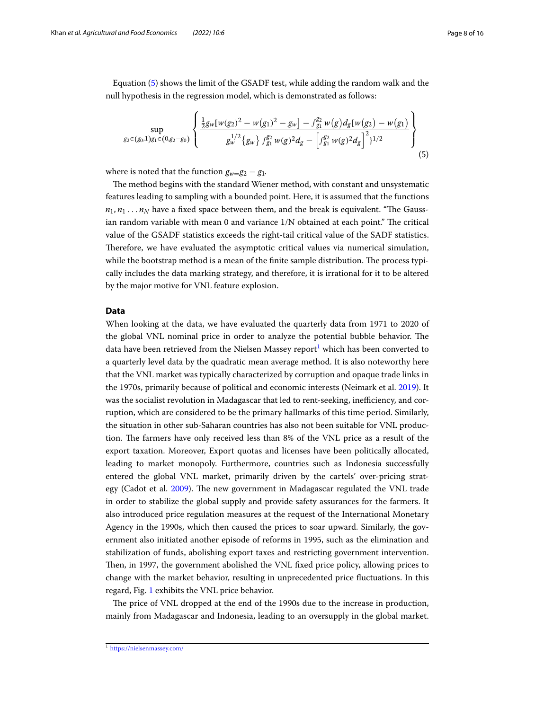Equation [\(5\)](#page-7-1) shows the limit of the GSADF test, while adding the random walk and the null hypothesis in the regression model, which is demonstrated as follows:

<span id="page-7-1"></span>
$$
\sup_{g_2 \in (g_0,1)g_1 \in (0,g_2-g_0)} \left\{ \frac{\frac{1}{2}g_w[w(g_2)^2 - w(g_1)^2 - g_w] - \int_{g_1}^{g_2} w(g) d_g[w(g_2) - w(g_1)]}{g_w^{1/2} \{g_w\} \int_{g_1}^{g_2} w(g)^2 d_g - \left[ \int_{g_1}^{g_2} w(g)^2 d_g \right]^2 \}^{1/2} \right\}
$$
(5)

where is noted that the function  $g_{w=0}g_2 - g_1$ .

The method begins with the standard Wiener method, with constant and unsystematic features leading to sampling with a bounded point. Here, it is assumed that the functions  $n_1, n_1 \ldots n_N$  have a fixed space between them, and the break is equivalent. "The Gaussian random variable with mean  $0$  and variance  $1/N$  obtained at each point." The critical value of the GSADF statistics exceeds the right-tail critical value of the SADF statistics. Therefore, we have evaluated the asymptotic critical values via numerical simulation, while the bootstrap method is a mean of the finite sample distribution. The process typically includes the data marking strategy, and therefore, it is irrational for it to be altered by the major motive for VNL feature explosion.

## <span id="page-7-0"></span>**Data**

When looking at the data, we have evaluated the quarterly data from 1971 to 2020 of the global VNL nominal price in order to analyze the potential bubble behavior. The data have been retrieved from the Nielsen Massey report<sup>1</sup> which has been converted to a quarterly level data by the quadratic mean average method. It is also noteworthy here that the VNL market was typically characterized by corruption and opaque trade links in the 1970s, primarily because of political and economic interests (Neimark et al. [2019](#page-15-3)). It was the socialist revolution in Madagascar that led to rent-seeking, inefficiency, and corruption, which are considered to be the primary hallmarks of this time period. Similarly, the situation in other sub-Saharan countries has also not been suitable for VNL production. The farmers have only received less than 8% of the VNL price as a result of the export taxation. Moreover, Export quotas and licenses have been politically allocated, leading to market monopoly. Furthermore, countries such as Indonesia successfully entered the global VNL market, primarily driven by the cartels' over-pricing strat-egy (Cadot et al. [2009\)](#page-14-1). The new government in Madagascar regulated the VNL trade in order to stabilize the global supply and provide safety assurances for the farmers. It also introduced price regulation measures at the request of the International Monetary Agency in the 1990s, which then caused the prices to soar upward. Similarly, the government also initiated another episode of reforms in 1995, such as the elimination and stabilization of funds, abolishing export taxes and restricting government intervention. Then, in 1997, the government abolished the VNL fixed price policy, allowing prices to change with the market behavior, resulting in unprecedented price fuctuations. In this regard, Fig. [1](#page-8-0) exhibits the VNL price behavior.

The price of VNL dropped at the end of the 1990s due to the increase in production, mainly from Madagascar and Indonesia, leading to an oversupply in the global market.

<span id="page-7-2"></span><sup>1</sup> <https://nielsenmassey.com/>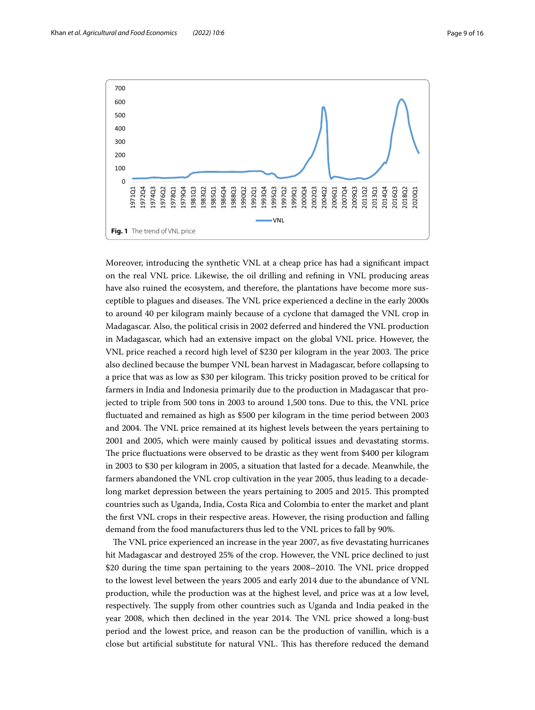

<span id="page-8-0"></span>Moreover, introducing the synthetic VNL at a cheap price has had a signifcant impact on the real VNL price. Likewise, the oil drilling and refning in VNL producing areas have also ruined the ecosystem, and therefore, the plantations have become more susceptible to plagues and diseases. The VNL price experienced a decline in the early 2000s to around 40 per kilogram mainly because of a cyclone that damaged the VNL crop in Madagascar. Also, the political crisis in 2002 deferred and hindered the VNL production in Madagascar, which had an extensive impact on the global VNL price. However, the VNL price reached a record high level of \$230 per kilogram in the year 2003. The price also declined because the bumper VNL bean harvest in Madagascar, before collapsing to a price that was as low as \$30 per kilogram. Tis tricky position proved to be critical for farmers in India and Indonesia primarily due to the production in Madagascar that projected to triple from 500 tons in 2003 to around 1,500 tons. Due to this, the VNL price fuctuated and remained as high as \$500 per kilogram in the time period between 2003 and 2004. The VNL price remained at its highest levels between the years pertaining to 2001 and 2005, which were mainly caused by political issues and devastating storms. The price fluctuations were observed to be drastic as they went from \$400 per kilogram in 2003 to \$30 per kilogram in 2005, a situation that lasted for a decade. Meanwhile, the farmers abandoned the VNL crop cultivation in the year 2005, thus leading to a decadelong market depression between the years pertaining to 2005 and 2015. This prompted countries such as Uganda, India, Costa Rica and Colombia to enter the market and plant the frst VNL crops in their respective areas. However, the rising production and falling demand from the food manufacturers thus led to the VNL prices to fall by 90%.

The VNL price experienced an increase in the year 2007, as five devastating hurricanes hit Madagascar and destroyed 25% of the crop. However, the VNL price declined to just \$20 during the time span pertaining to the years 2008–2010. The VNL price dropped to the lowest level between the years 2005 and early 2014 due to the abundance of VNL production, while the production was at the highest level, and price was at a low level, respectively. The supply from other countries such as Uganda and India peaked in the year 2008, which then declined in the year 2014. The VNL price showed a long-bust period and the lowest price, and reason can be the production of vanillin, which is a close but artifcial substitute for natural VNL. Tis has therefore reduced the demand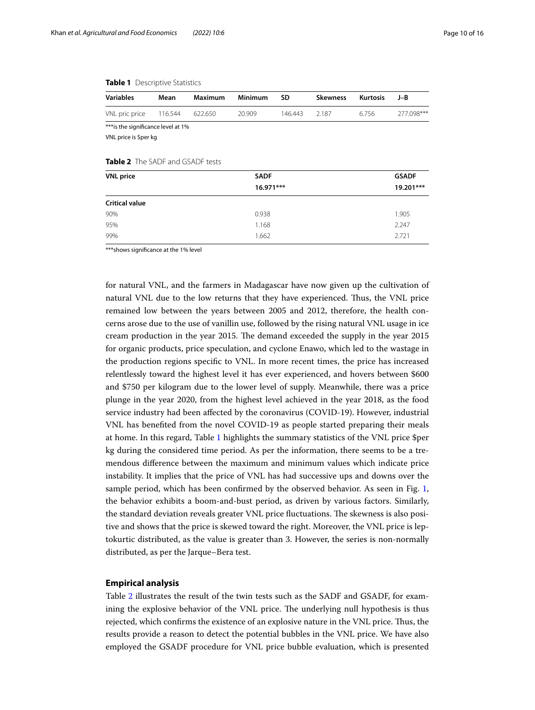### <span id="page-9-1"></span>**Table 1** Descriptive Statistics

| <b>Variables</b>                        | Mean    | Maximum | Minimum | SD      | <b>Skewness</b> | Kurtosis | J-B        |
|-----------------------------------------|---------|---------|---------|---------|-----------------|----------|------------|
| VNL pric price                          | 116.544 | 622.650 | 20.909  | 146.443 | 2.187           | 6.756    | 277.098*** |
| *** is the significance level at 1%     |         |         |         |         |                 |          |            |
| VNL price is \$per kg                   |         |         |         |         |                 |          |            |
|                                         |         |         |         |         |                 |          |            |
| <b>Table 2</b> The SADF and GSADF tests |         |         |         |         |                 |          |            |

<span id="page-9-2"></span>

| <b>VNL</b> price      | <b>SADF</b> | <b>GSADF</b><br>19.201*** |  |
|-----------------------|-------------|---------------------------|--|
|                       | $16.971***$ |                           |  |
| <b>Critical value</b> |             |                           |  |
| 90%                   | 0.938       | 1.905                     |  |
| 95%                   | 1.168       | 2.247                     |  |
| 99%                   | 1.662       | 2.721                     |  |

\*\*\*shows signifcance at the 1% level

for natural VNL, and the farmers in Madagascar have now given up the cultivation of natural VNL due to the low returns that they have experienced. Tus, the VNL price remained low between the years between 2005 and 2012, therefore, the health concerns arose due to the use of vanillin use, followed by the rising natural VNL usage in ice cream production in the year 2015. The demand exceeded the supply in the year 2015 for organic products, price speculation, and cyclone Enawo, which led to the wastage in the production regions specifc to VNL. In more recent times, the price has increased relentlessly toward the highest level it has ever experienced, and hovers between \$600 and \$750 per kilogram due to the lower level of supply. Meanwhile, there was a price plunge in the year 2020, from the highest level achieved in the year 2018, as the food service industry had been afected by the coronavirus (COVID-19). However, industrial VNL has benefted from the novel COVID-19 as people started preparing their meals at home. In this regard, Table [1](#page-9-1) highlights the summary statistics of the VNL price \$per kg during the considered time period. As per the information, there seems to be a tremendous diference between the maximum and minimum values which indicate price instability. It implies that the price of VNL has had successive ups and downs over the sample period, which has been confrmed by the observed behavior. As seen in Fig. [1](#page-8-0), the behavior exhibits a boom-and-bust period, as driven by various factors. Similarly, the standard deviation reveals greater VNL price fluctuations. The skewness is also positive and shows that the price is skewed toward the right. Moreover, the VNL price is leptokurtic distributed, as the value is greater than 3. However, the series is non-normally distributed, as per the Jarque–Bera test.

## <span id="page-9-0"></span>**Empirical analysis**

Table [2](#page-9-2) illustrates the result of the twin tests such as the SADF and GSADF, for examining the explosive behavior of the VNL price. The underlying null hypothesis is thus rejected, which confrms the existence of an explosive nature in the VNL price. Tus, the results provide a reason to detect the potential bubbles in the VNL price. We have also employed the GSADF procedure for VNL price bubble evaluation, which is presented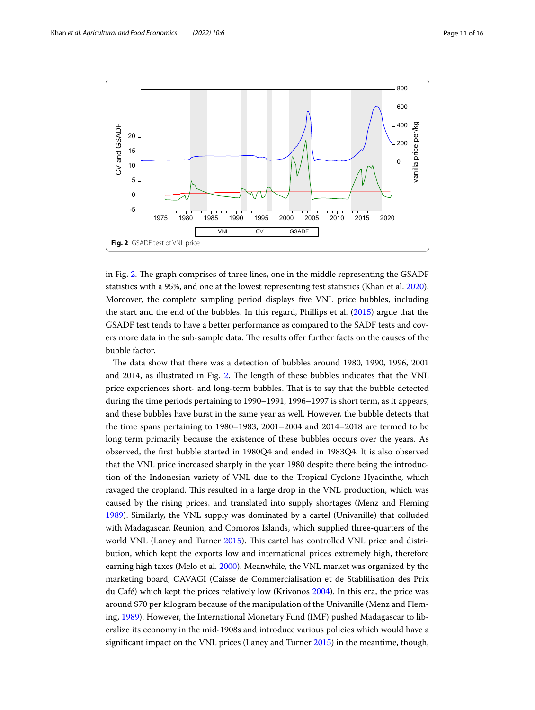

<span id="page-10-0"></span>in Fig. [2](#page-10-0). The graph comprises of three lines, one in the middle representing the GSADF statistics with a 95%, and one at the lowest representing test statistics (Khan et al. [2020](#page-15-4)). Moreover, the complete sampling period displays fve VNL price bubbles, including the start and the end of the bubbles. In this regard, Phillips et al. ([2015](#page-15-39)) argue that the GSADF test tends to have a better performance as compared to the SADF tests and covers more data in the sub-sample data. The results offer further facts on the causes of the bubble factor.

The data show that there was a detection of bubbles around 1980, 1990, 1996, 2001 and [2](#page-10-0)014, as illustrated in Fig. 2. The length of these bubbles indicates that the VNL price experiences short- and long-term bubbles. That is to say that the bubble detected during the time periods pertaining to 1990–1991, 1996–1997 is short term, as it appears, and these bubbles have burst in the same year as well. However, the bubble detects that the time spans pertaining to 1980–1983, 2001–2004 and 2014–2018 are termed to be long term primarily because the existence of these bubbles occurs over the years. As observed, the frst bubble started in 1980Q4 and ended in 1983Q4. It is also observed that the VNL price increased sharply in the year 1980 despite there being the introduction of the Indonesian variety of VNL due to the Tropical Cyclone Hyacinthe, which ravaged the cropland. This resulted in a large drop in the VNL production, which was caused by the rising prices, and translated into supply shortages (Menz and Fleming [1989](#page-15-0)). Similarly, the VNL supply was dominated by a cartel (Univanille) that colluded with Madagascar, Reunion, and Comoros Islands, which supplied three-quarters of the world VNL (Laney and Turner [2015\)](#page-15-9). This cartel has controlled VNL price and distribution, which kept the exports low and international prices extremely high, therefore earning high taxes (Melo et al. [2000\)](#page-15-40). Meanwhile, the VNL market was organized by the marketing board, CAVAGI (Caisse de Commercialisation et de Stablilisation des Prix du Café) which kept the prices relatively low (Krivonos [2004](#page-15-41)). In this era, the price was around \$70 per kilogram because of the manipulation of the Univanille (Menz and Fleming, [1989](#page-15-0)). However, the International Monetary Fund (IMF) pushed Madagascar to liberalize its economy in the mid-1908s and introduce various policies which would have a signifcant impact on the VNL prices (Laney and Turner [2015\)](#page-15-9) in the meantime, though,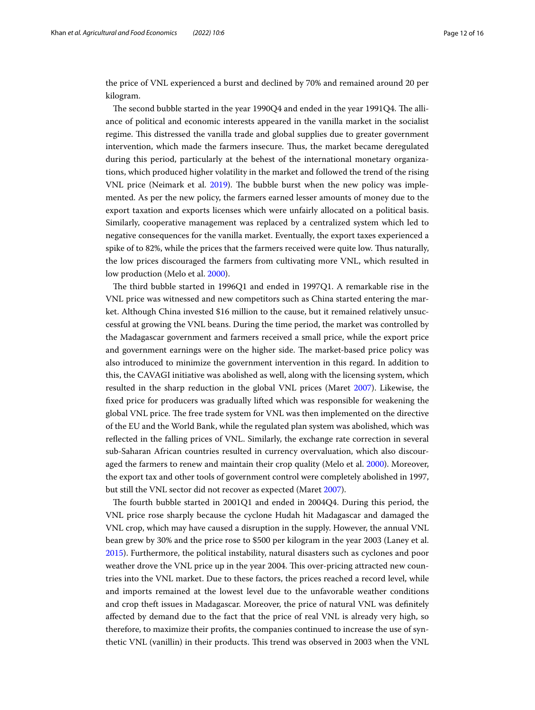the price of VNL experienced a burst and declined by 70% and remained around 20 per kilogram.

The second bubble started in the year  $1990Q4$  and ended in the year  $1991Q4$ . The alliance of political and economic interests appeared in the vanilla market in the socialist regime. This distressed the vanilla trade and global supplies due to greater government intervention, which made the farmers insecure. Thus, the market became deregulated during this period, particularly at the behest of the international monetary organizations, which produced higher volatility in the market and followed the trend of the rising VNL price (Neimark et al. [2019](#page-15-3)). The bubble burst when the new policy was implemented. As per the new policy, the farmers earned lesser amounts of money due to the export taxation and exports licenses which were unfairly allocated on a political basis. Similarly, cooperative management was replaced by a centralized system which led to negative consequences for the vanilla market. Eventually, the export taxes experienced a spike of to 82%, while the prices that the farmers received were quite low. Tus naturally, the low prices discouraged the farmers from cultivating more VNL, which resulted in low production (Melo et al. [2000\)](#page-15-40).

The third bubble started in 1996Q1 and ended in 1997Q1. A remarkable rise in the VNL price was witnessed and new competitors such as China started entering the market. Although China invested \$16 million to the cause, but it remained relatively unsuccessful at growing the VNL beans. During the time period, the market was controlled by the Madagascar government and farmers received a small price, while the export price and government earnings were on the higher side. The market-based price policy was also introduced to minimize the government intervention in this regard. In addition to this, the CAVAGI initiative was abolished as well, along with the licensing system, which resulted in the sharp reduction in the global VNL prices (Maret [2007\)](#page-15-42). Likewise, the fxed price for producers was gradually lifted which was responsible for weakening the global VNL price. The free trade system for VNL was then implemented on the directive of the EU and the World Bank, while the regulated plan system was abolished, which was refected in the falling prices of VNL. Similarly, the exchange rate correction in several sub-Saharan African countries resulted in currency overvaluation, which also discouraged the farmers to renew and maintain their crop quality (Melo et al. [2000\)](#page-15-40). Moreover, the export tax and other tools of government control were completely abolished in 1997, but still the VNL sector did not recover as expected (Maret [2007](#page-15-42)).

The fourth bubble started in 2001Q1 and ended in 2004Q4. During this period, the VNL price rose sharply because the cyclone Hudah hit Madagascar and damaged the VNL crop, which may have caused a disruption in the supply. However, the annual VNL bean grew by 30% and the price rose to \$500 per kilogram in the year 2003 (Laney et al. [2015](#page-15-9)). Furthermore, the political instability, natural disasters such as cyclones and poor weather drove the VNL price up in the year 2004. This over-pricing attracted new countries into the VNL market. Due to these factors, the prices reached a record level, while and imports remained at the lowest level due to the unfavorable weather conditions and crop theft issues in Madagascar. Moreover, the price of natural VNL was defnitely afected by demand due to the fact that the price of real VNL is already very high, so therefore, to maximize their profts, the companies continued to increase the use of synthetic VNL (vanillin) in their products. Tis trend was observed in 2003 when the VNL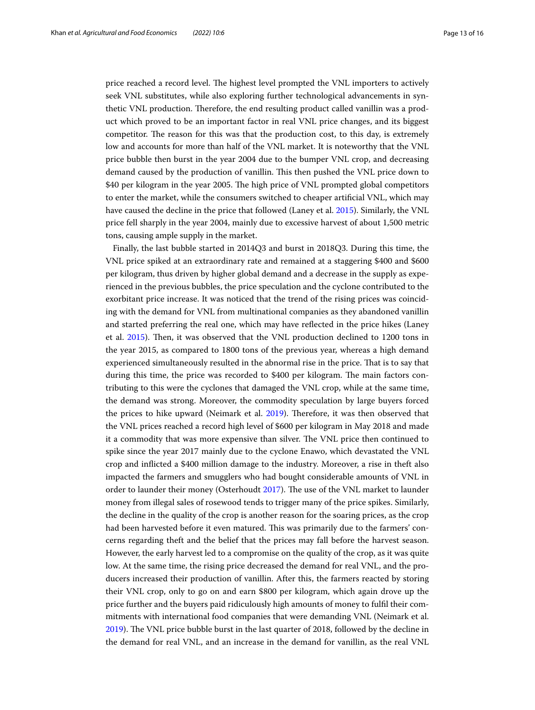price reached a record level. The highest level prompted the VNL importers to actively seek VNL substitutes, while also exploring further technological advancements in synthetic VNL production. Therefore, the end resulting product called vanillin was a product which proved to be an important factor in real VNL price changes, and its biggest competitor. The reason for this was that the production cost, to this day, is extremely low and accounts for more than half of the VNL market. It is noteworthy that the VNL price bubble then burst in the year 2004 due to the bumper VNL crop, and decreasing demand caused by the production of vanillin. Tis then pushed the VNL price down to \$40 per kilogram in the year 2005. The high price of VNL prompted global competitors to enter the market, while the consumers switched to cheaper artifcial VNL, which may have caused the decline in the price that followed (Laney et al. [2015\)](#page-15-9). Similarly, the VNL price fell sharply in the year 2004, mainly due to excessive harvest of about 1,500 metric tons, causing ample supply in the market.

Finally, the last bubble started in 2014Q3 and burst in 2018Q3. During this time, the VNL price spiked at an extraordinary rate and remained at a staggering \$400 and \$600 per kilogram, thus driven by higher global demand and a decrease in the supply as experienced in the previous bubbles, the price speculation and the cyclone contributed to the exorbitant price increase. It was noticed that the trend of the rising prices was coinciding with the demand for VNL from multinational companies as they abandoned vanillin and started preferring the real one, which may have refected in the price hikes (Laney et al. [2015](#page-15-9)). Then, it was observed that the VNL production declined to 1200 tons in the year 2015, as compared to 1800 tons of the previous year, whereas a high demand experienced simultaneously resulted in the abnormal rise in the price. Tat is to say that during this time, the price was recorded to \$400 per kilogram. The main factors contributing to this were the cyclones that damaged the VNL crop, while at the same time, the demand was strong. Moreover, the commodity speculation by large buyers forced the prices to hike upward (Neimark et al. [2019\)](#page-15-3). Therefore, it was then observed that the VNL prices reached a record high level of \$600 per kilogram in May 2018 and made it a commodity that was more expensive than silver. The VNL price then continued to spike since the year 2017 mainly due to the cyclone Enawo, which devastated the VNL crop and inficted a \$400 million damage to the industry. Moreover, a rise in theft also impacted the farmers and smugglers who had bought considerable amounts of VNL in order to launder their money (Osterhoudt [2017\)](#page-15-10). The use of the VNL market to launder money from illegal sales of rosewood tends to trigger many of the price spikes. Similarly, the decline in the quality of the crop is another reason for the soaring prices, as the crop had been harvested before it even matured. This was primarily due to the farmers' concerns regarding theft and the belief that the prices may fall before the harvest season. However, the early harvest led to a compromise on the quality of the crop, as it was quite low. At the same time, the rising price decreased the demand for real VNL, and the producers increased their production of vanillin. After this, the farmers reacted by storing their VNL crop, only to go on and earn \$800 per kilogram, which again drove up the price further and the buyers paid ridiculously high amounts of money to fulfl their commitments with international food companies that were demanding VNL (Neimark et al. [2019](#page-15-3)). The VNL price bubble burst in the last quarter of 2018, followed by the decline in the demand for real VNL, and an increase in the demand for vanillin, as the real VNL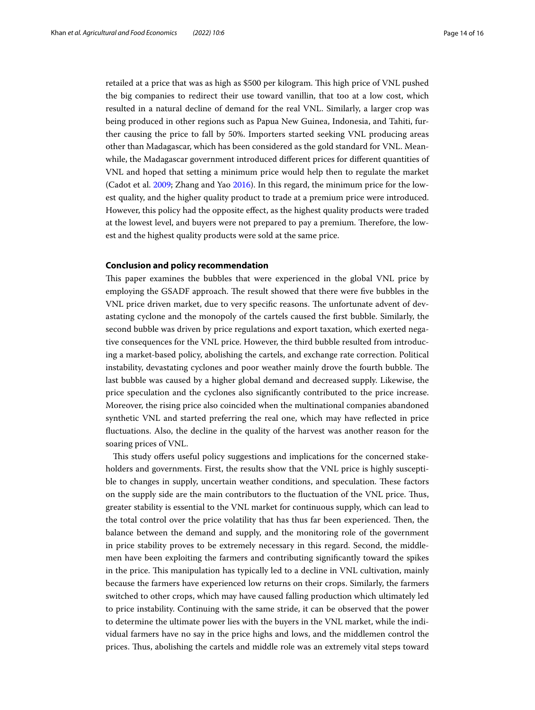retailed at a price that was as high as \$500 per kilogram. Tis high price of VNL pushed the big companies to redirect their use toward vanillin, that too at a low cost, which resulted in a natural decline of demand for the real VNL. Similarly, a larger crop was being produced in other regions such as Papua New Guinea, Indonesia, and Tahiti, further causing the price to fall by 50%. Importers started seeking VNL producing areas other than Madagascar, which has been considered as the gold standard for VNL. Meanwhile, the Madagascar government introduced diferent prices for diferent quantities of VNL and hoped that setting a minimum price would help then to regulate the market (Cadot et al. [2009](#page-14-1); Zhang and Yao [2016](#page-15-28)). In this regard, the minimum price for the lowest quality, and the higher quality product to trade at a premium price were introduced. However, this policy had the opposite efect, as the highest quality products were traded at the lowest level, and buyers were not prepared to pay a premium. Therefore, the lowest and the highest quality products were sold at the same price.

## <span id="page-13-0"></span>**Conclusion and policy recommendation**

This paper examines the bubbles that were experienced in the global VNL price by employing the GSADF approach. The result showed that there were five bubbles in the VNL price driven market, due to very specific reasons. The unfortunate advent of devastating cyclone and the monopoly of the cartels caused the frst bubble. Similarly, the second bubble was driven by price regulations and export taxation, which exerted negative consequences for the VNL price. However, the third bubble resulted from introducing a market-based policy, abolishing the cartels, and exchange rate correction. Political instability, devastating cyclones and poor weather mainly drove the fourth bubble. The last bubble was caused by a higher global demand and decreased supply. Likewise, the price speculation and the cyclones also signifcantly contributed to the price increase. Moreover, the rising price also coincided when the multinational companies abandoned synthetic VNL and started preferring the real one, which may have refected in price fuctuations. Also, the decline in the quality of the harvest was another reason for the soaring prices of VNL.

This study offers useful policy suggestions and implications for the concerned stakeholders and governments. First, the results show that the VNL price is highly susceptible to changes in supply, uncertain weather conditions, and speculation. These factors on the supply side are the main contributors to the fuctuation of the VNL price. Tus, greater stability is essential to the VNL market for continuous supply, which can lead to the total control over the price volatility that has thus far been experienced. Then, the balance between the demand and supply, and the monitoring role of the government in price stability proves to be extremely necessary in this regard. Second, the middlemen have been exploiting the farmers and contributing signifcantly toward the spikes in the price. This manipulation has typically led to a decline in VNL cultivation, mainly because the farmers have experienced low returns on their crops. Similarly, the farmers switched to other crops, which may have caused falling production which ultimately led to price instability. Continuing with the same stride, it can be observed that the power to determine the ultimate power lies with the buyers in the VNL market, while the individual farmers have no say in the price highs and lows, and the middlemen control the prices. Tus, abolishing the cartels and middle role was an extremely vital steps toward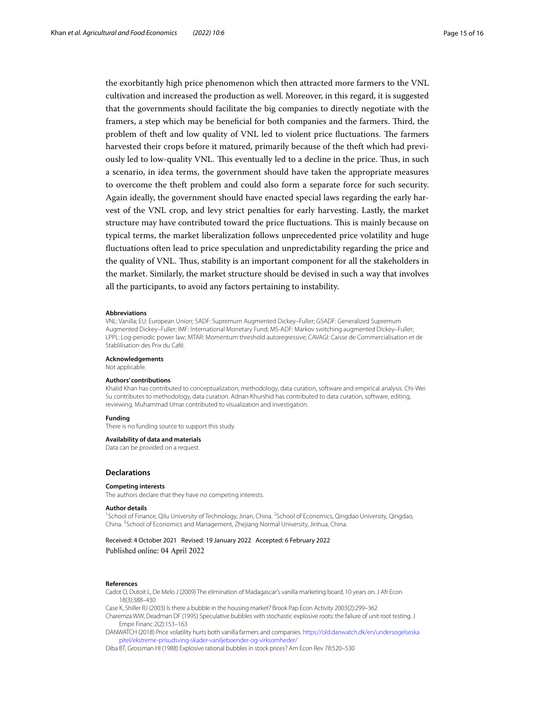the exorbitantly high price phenomenon which then attracted more farmers to the VNL cultivation and increased the production as well. Moreover, in this regard, it is suggested that the governments should facilitate the big companies to directly negotiate with the framers, a step which may be beneficial for both companies and the farmers. Third, the problem of theft and low quality of VNL led to violent price fluctuations. The farmers harvested their crops before it matured, primarily because of the theft which had previously led to low-quality VNL. This eventually led to a decline in the price. Thus, in such a scenario, in idea terms, the government should have taken the appropriate measures to overcome the theft problem and could also form a separate force for such security. Again ideally, the government should have enacted special laws regarding the early harvest of the VNL crop, and levy strict penalties for early harvesting. Lastly, the market structure may have contributed toward the price fuctuations. Tis is mainly because on typical terms, the market liberalization follows unprecedented price volatility and huge fuctuations often lead to price speculation and unpredictability regarding the price and the quality of VNL. Thus, stability is an important component for all the stakeholders in the market. Similarly, the market structure should be devised in such a way that involves all the participants, to avoid any factors pertaining to instability.

#### **Abbreviations**

VNL: Vanilla; EU: European Union; SADF: Supremum Augmented Dickey–Fuller; GSADF: Generalized Supremum Augmented Dickey–Fuller; IMF: International Monetary Fund; MS-ADF: Markov switching augmented Dickey–Fuller; LPPL: Log-periodic power law; MTAR: Momentum threshold autoregressive; CAVAGI: Caisse de Commercialisation et de Stablilisation des Prix du Café.

**Acknowledgements**

Not applicable.

#### **Authors' contributions**

Khalid Khan has contributed to conceptualization, methodology, data curation, software and empirical analysis. Chi-Wei Su contributes to methodology, data curation. Adnan Khurshid has contributed to data curation, software, editing, reviewing. Muhammad Umar contributed to visualization and investigation.

#### **Funding**

There is no funding source to support this study.

## **Availability of data and materials**

Data can be provided on a request.

#### **Declarations**

#### **Competing interests**

The authors declare that they have no competing interests.

#### **Author details**

<sup>1</sup>School of Finance, Qilu University of Technology, Jinan, China. <sup>2</sup>School of Economics, Qingdao University, Qingdao, China. <sup>3</sup> School of Economics and Management, Zhejiang Normal University, Jinhua, China.

Received: 4 October 2021 Revised: 19 January 2022 Accepted: 6 February 2022 Published online: 04 April 2022

### **References**

<span id="page-14-1"></span>Cadot O, Dutoit L, De Melo J (2009) The elimination of Madagascar's vanilla marketing board, 10 years on. J Afr Econ 18(3):388–430

<span id="page-14-4"></span><span id="page-14-0"></span>Case K, Shiller RJ (2003) Is there a bubble in the housing market? Brook Pap Econ Activity 2003(2):299–362 Charemza WW, Deadman DF (1995) Speculative bubbles with stochastic explosive roots: the failure of unit root testing. J

Empir Financ 2(2):153–163 DANWATCH (2018) Price volatility hurts both vanilla farmers and companies. [https://old.danwatch.dk/en/undersogelseska](https://old.danwatch.dk/en/undersogelseskapitel/ekstreme-prisudsving-skader-vaniljeboender-og-virksomheder/)

<span id="page-14-2"></span>[pitel/ekstreme-prisudsving-skader-vaniljeboender-og-virksomheder/](https://old.danwatch.dk/en/undersogelseskapitel/ekstreme-prisudsving-skader-vaniljeboender-og-virksomheder/)

<span id="page-14-3"></span>Diba BT, Grossman HI (1988) Explosive rational bubbles in stock prices? Am Econ Rev 78:520–530